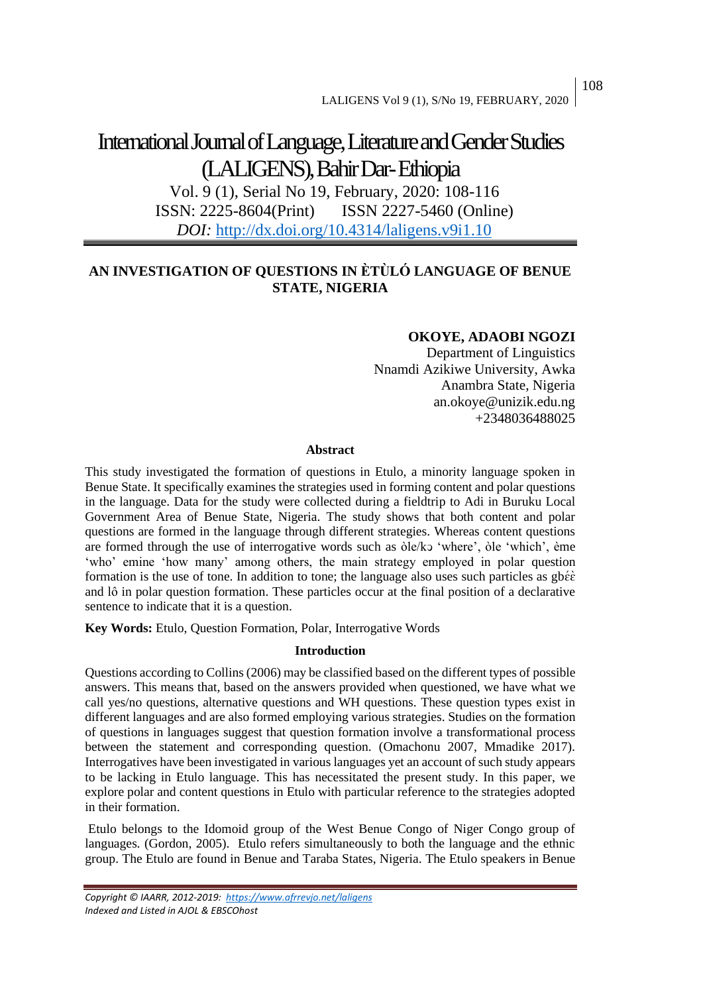# International Journal of Language, Literature and Gender Studies (LALIGENS), Bahir Dar-Ethiopia

Vol. 9 (1), Serial No 19, February, 2020: 108-116 ISSN: 2225-8604(Print) ISSN 2227-5460 (Online) *DOI:* <http://dx.doi.org/10.4314/laligens.v9i1.10>

# **AN INVESTIGATION OF QUESTIONS IN ÈTÙLÓ LANGUAGE OF BENUE STATE, NIGERIA**

## **OKOYE, ADAOBI NGOZI**

Department of Linguistics Nnamdi Azikiwe University, Awka Anambra State, Nigeria an.okoye@unizik.edu.ng +2348036488025

## **Abstract**

This study investigated the formation of questions in Etulo, a minority language spoken in Benue State. It specifically examines the strategies used in forming content and polar questions in the language. Data for the study were collected during a fieldtrip to Adi in Buruku Local Government Area of Benue State, Nigeria. The study shows that both content and polar questions are formed in the language through different strategies. Whereas content questions are formed through the use of interrogative words such as òle/kɔ 'where', òle 'which', ème 'who' emine 'how many' among others, the main strategy employed in polar question formation is the use of tone. In addition to tone; the language also uses such particles as  $gb\acute{\epsilon}\acute{\epsilon}$ and lô in polar question formation. These particles occur at the final position of a declarative sentence to indicate that it is a question.

**Key Words:** Etulo, Question Formation, Polar, Interrogative Words

## **Introduction**

Questions according to Collins (2006) may be classified based on the different types of possible answers. This means that, based on the answers provided when questioned, we have what we call yes/no questions, alternative questions and WH questions. These question types exist in different languages and are also formed employing various strategies. Studies on the formation of questions in languages suggest that question formation involve a transformational process between the statement and corresponding question. (Omachonu 2007, Mmadike 2017). Interrogatives have been investigated in various languages yet an account of such study appears to be lacking in Etulo language. This has necessitated the present study. In this paper, we explore polar and content questions in Etulo with particular reference to the strategies adopted in their formation.

Etulo belongs to the Idomoid group of the West Benue Congo of Niger Congo group of languages. (Gordon, 2005). Etulo refers simultaneously to both the language and the ethnic group. The Etulo are found in Benue and Taraba States, Nigeria. The Etulo speakers in Benue

*Copyright © IAARR, 2012-2019: <https://www.afrrevjo.net/laligens> Indexed and Listed in AJOL & EBSCOhost*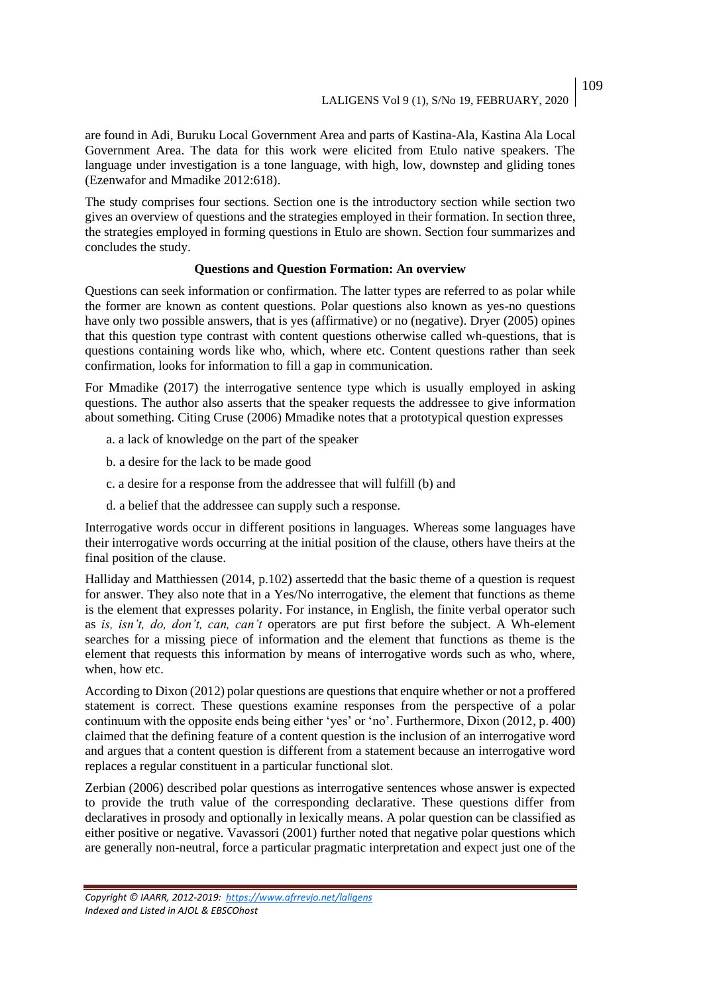are found in Adi, Buruku Local Government Area and parts of Kastina-Ala, Kastina Ala Local Government Area. The data for this work were elicited from Etulo native speakers. The language under investigation is a tone language, with high, low, downstep and gliding tones (Ezenwafor and Mmadike 2012:618).

The study comprises four sections. Section one is the introductory section while section two gives an overview of questions and the strategies employed in their formation. In section three, the strategies employed in forming questions in Etulo are shown. Section four summarizes and concludes the study.

## **Questions and Question Formation: An overview**

Questions can seek information or confirmation. The latter types are referred to as polar while the former are known as content questions. Polar questions also known as yes-no questions have only two possible answers, that is yes (affirmative) or no (negative). Dryer (2005) opines that this question type contrast with content questions otherwise called wh-questions, that is questions containing words like who, which, where etc. Content questions rather than seek confirmation, looks for information to fill a gap in communication.

For Mmadike (2017) the interrogative sentence type which is usually employed in asking questions. The author also asserts that the speaker requests the addressee to give information about something. Citing Cruse (2006) Mmadike notes that a prototypical question expresses

- a. a lack of knowledge on the part of the speaker
- b. a desire for the lack to be made good
- c. a desire for a response from the addressee that will fulfill (b) and
- d. a belief that the addressee can supply such a response.

Interrogative words occur in different positions in languages. Whereas some languages have their interrogative words occurring at the initial position of the clause, others have theirs at the final position of the clause.

Halliday and Matthiessen (2014, p.102) assertedd that the basic theme of a question is request for answer. They also note that in a Yes/No interrogative, the element that functions as theme is the element that expresses polarity. For instance, in English, the finite verbal operator such as *is, isn't, do, don't, can, can't* operators are put first before the subject. A Wh-element searches for a missing piece of information and the element that functions as theme is the element that requests this information by means of interrogative words such as who, where, when, how etc.

According to Dixon (2012) polar questions are questions that enquire whether or not a proffered statement is correct. These questions examine responses from the perspective of a polar continuum with the opposite ends being either 'yes' or 'no'. Furthermore, Dixon (2012, p. 400) claimed that the defining feature of a content question is the inclusion of an interrogative word and argues that a content question is different from a statement because an interrogative word replaces a regular constituent in a particular functional slot.

Zerbian (2006) described polar questions as interrogative sentences whose answer is expected to provide the truth value of the corresponding declarative. These questions differ from declaratives in prosody and optionally in lexically means. A polar question can be classified as either positive or negative. Vavassori (2001) further noted that negative polar questions which are generally non-neutral, force a particular pragmatic interpretation and expect just one of the

109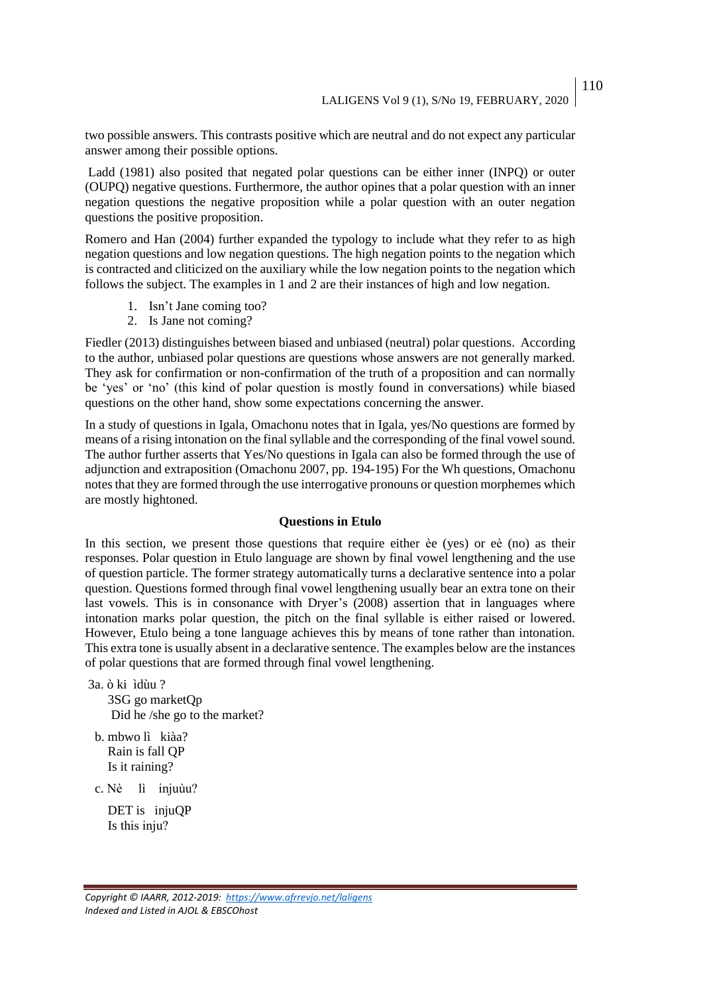two possible answers. This contrasts positive which are neutral and do not expect any particular answer among their possible options.

Ladd (1981) also posited that negated polar questions can be either inner (INPQ) or outer (OUPQ) negative questions. Furthermore, the author opines that a polar question with an inner negation questions the negative proposition while a polar question with an outer negation questions the positive proposition.

Romero and Han (2004) further expanded the typology to include what they refer to as high negation questions and low negation questions. The high negation points to the negation which is contracted and cliticized on the auxiliary while the low negation points to the negation which follows the subject. The examples in 1 and 2 are their instances of high and low negation.

- 1. Isn't Jane coming too?
- 2. Is Jane not coming?

Fiedler (2013) distinguishes between biased and unbiased (neutral) polar questions. According to the author, unbiased polar questions are questions whose answers are not generally marked. They ask for confirmation or non-confirmation of the truth of a proposition and can normally be 'yes' or 'no' (this kind of polar question is mostly found in conversations) while biased questions on the other hand, show some expectations concerning the answer.

In a study of questions in Igala, Omachonu notes that in Igala, yes/No questions are formed by means of a rising intonation on the final syllable and the corresponding of the final vowel sound. The author further asserts that Yes/No questions in Igala can also be formed through the use of adjunction and extraposition (Omachonu 2007, pp. 194-195) For the Wh questions, Omachonu notes that they are formed through the use interrogative pronouns or question morphemes which are mostly hightoned.

### **Questions in Etulo**

In this section, we present those questions that require either èe (yes) or eè (no) as their responses. Polar question in Etulo language are shown by final vowel lengthening and the use of question particle. The former strategy automatically turns a declarative sentence into a polar question. Questions formed through final vowel lengthening usually bear an extra tone on their last vowels. This is in consonance with Dryer's (2008) assertion that in languages where intonation marks polar question, the pitch on the final syllable is either raised or lowered. However, Etulo being a tone language achieves this by means of tone rather than intonation. This extra tone is usually absent in a declarative sentence. The examples below are the instances of polar questions that are formed through final vowel lengthening.

- 3a. ò ki ìdùu ? 3SG go marketQp Did he /she go to the market?
- b. mbwo lì kiàa? Rain is fall QP Is it raining?

c. Nè lì іnjuùu?

DET is injuQP Is thіs іnju?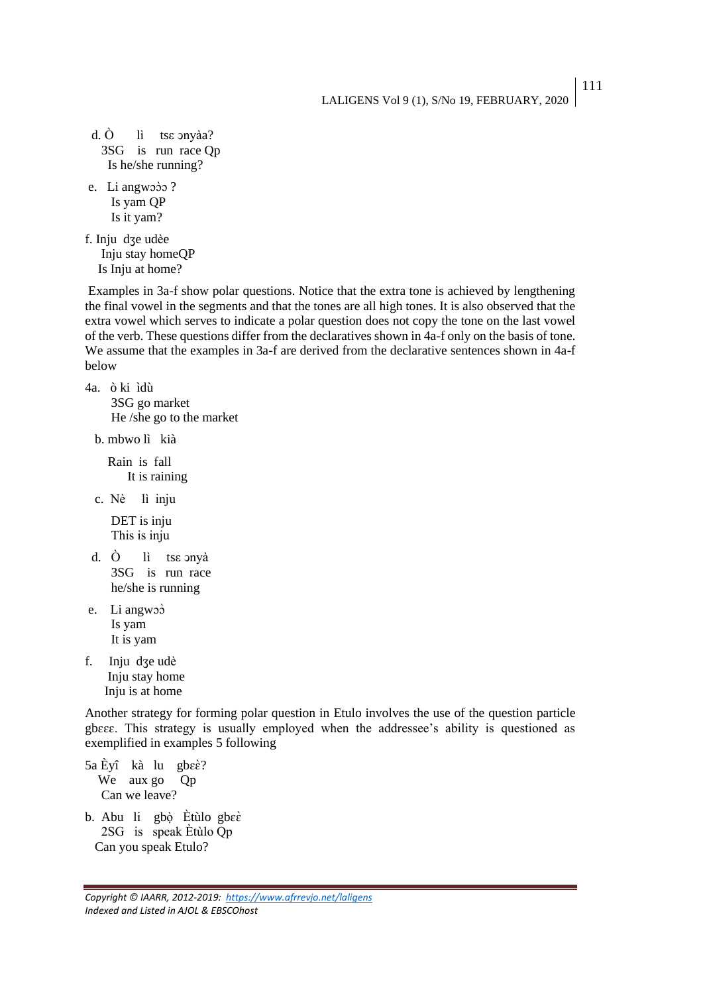111

```
d. \dot{O} lì tse onyàa?
3SG is run race Qp
  Is he/she running?
```
e. Li angwoòo? Is yam QP Is it yam?

f. Inju dӡe udèe Inju stay homeQP Is Inju at home?

Examples in 3a-f show polar questions. Notice that the extra tone is achieved by lengthening the final vowel in the segments and that the tones are all high tones. It is also observed that the extra vowel which serves to indicate a polar question does not copy the tone on the last vowel of the verb. These questions differ from the declaratives shown in 4a-f only on the basis of tone. We assume that the examples in 3a-f are derived from the declarative sentences shown in 4a-f below

4a. ò ki ìdù 3SG go market He /she go to the market

b. mbwo lì kià

 Rain is fall It is raining

c. Nè lì іnju

 DET is inju Thіs is іnju

- d. Ò lì tse onyà 3SG is run race he/she is running
- e. Li angwɔɔ̀ Is yam It is yam

f. Inju dӡe udè Inju stay home Inju is at home

Another strategy for forming polar question in Etulo involves the use of the question particle gbɛɛɛ. This strategy is usually employed when the addressee's ability is questioned as exemplified in examples 5 following

- 5a Èyî kà lu gbɛɛ̀? We aux go Qp Can we leave?
- b. Abu li gbò Ètùlo gbeè 2SG іs speak Ѐtùlo Qp Can you speak Etulo?

*Copyright © IAARR, 2012-2019: <https://www.afrrevjo.net/laligens> Indexed and Listed in AJOL & EBSCOhost*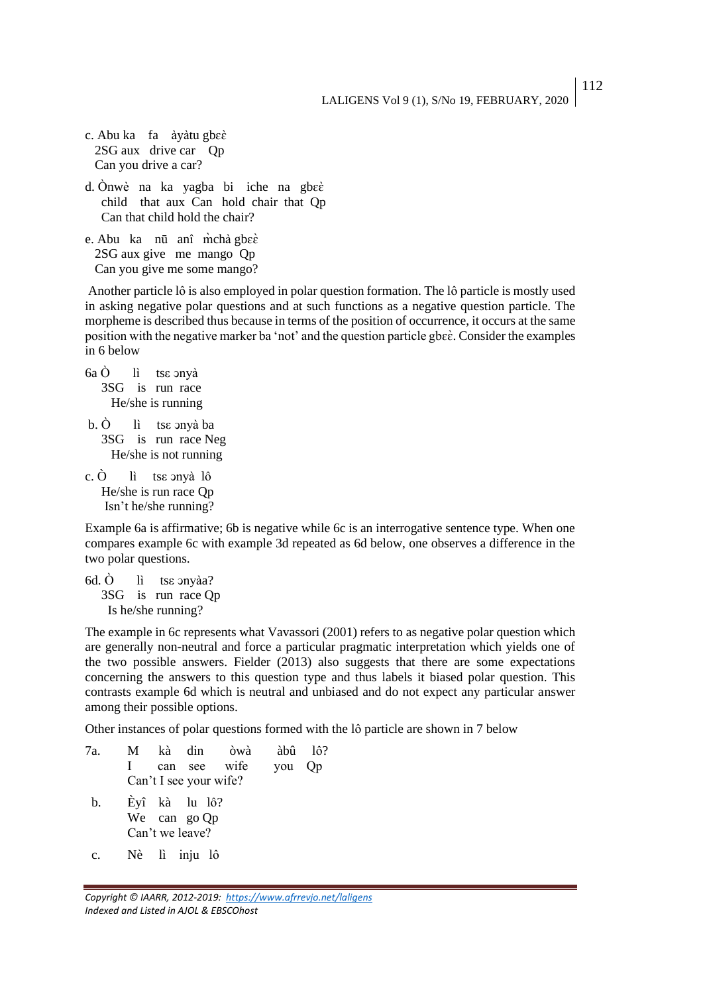112

- c. Abu ka fa àyàtu gbɛɛ̀ 2SG aux drive car Qp Can you drive a car?
- d. Ònwè na ka yagba bi iche na gbeè child that aux Can hold chair that Qp Can that child hold the chair?
- e. Abu ka nū anî m̀chà gbɛɛ̀ 2SG aux give me mango Qp Can you give me some mango?

Another particle lô is also employed in polar question formation. The lô particle is mostly used in asking negative polar questions and at such functions as a negative question particle. The morpheme is described thus because in terms of the position of occurrence, it occurs at the same position with the negative marker ba 'not' and the question particle gbee. Consider the examples in 6 below

- $6a \dot{O}$  lì tse onyà 3SG is run race He/she is running
- b.  $\dot{O}$  lì tse onyà ba 3SG is run race Neg He/she is not running
- c.  $\dot{O}$  lì tse ony à lô He/she is run race Qp Isn't he/she running?

Example 6a is affirmative; 6b is negative while 6c is an interrogative sentence type. When one compares example 6c with example 3d repeated as 6d below, one observes a difference in the two polar questions.

6d.  $\dot{O}$  lì tse onyàa? 3SG is run race Qp Is he/she running?

The example in 6c represents what Vavassori (2001) refers to as negative polar question which are generally non-neutral and force a particular pragmatic interpretation which yields one of the two possible answers. Fielder (2013) also suggests that there are some expectations concerning the answers to this question type and thus labels it biased polar question. This contrasts example 6d which is neutral and unbiased and do not expect any particular answer among their possible options.

Other instances of polar questions formed with the lô particle are shown in 7 below

7a. M kà dіn òwà àbû lô? І can see wife you Qp Can't І see your wife? b. Èyî kà lu lô? We can go Qp Can't we leave? c. Nè lì іnju lô

*Copyright © IAARR, 2012-2019: <https://www.afrrevjo.net/laligens> Indexed and Listed in AJOL & EBSCOhost*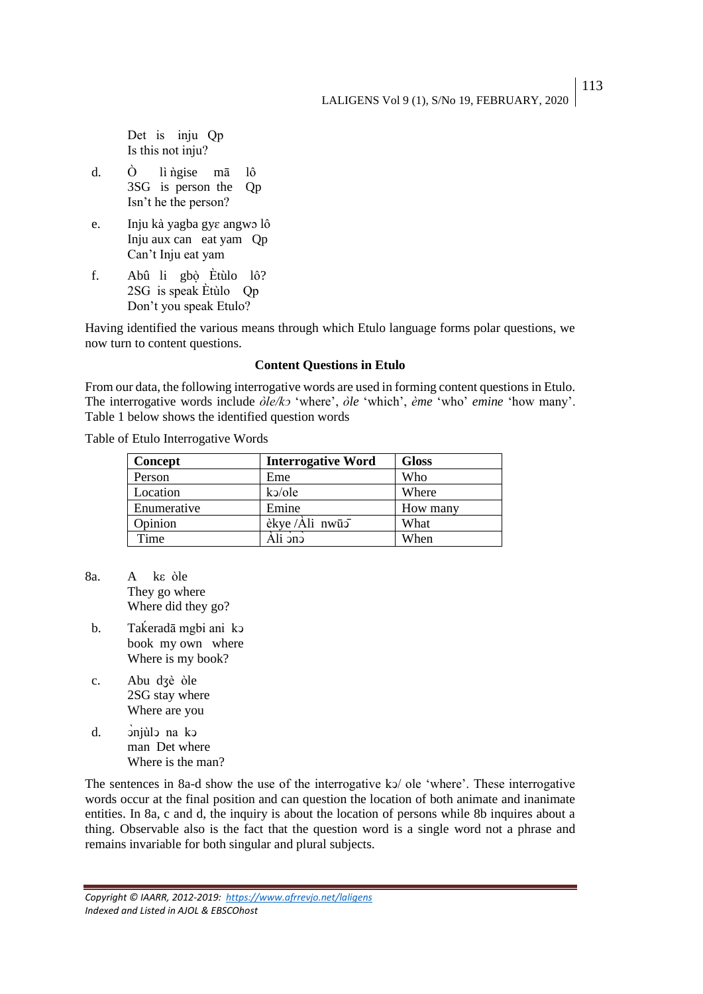LALIGENS Vol 9 (1), S/No 19, FEBRUARY, 2020

 Det іs іnju Qp Іs thіs not іnju?

- d. O lì ngise mā lô 3SG is person the Qp Isn't he the person?
- e. Inju kà yagba gyɛ angwɔ lô Inju aux can eat yam Qp Can't Inju eat yam
- f. Abû li gbò Ètùlo lô? 2SG іs speak Ѐtùlo Qp Don't you speak Etulo?

Having identified the various means through which Etulo language forms polar questions, we now turn to content questions.

## **Content Questions in Etulo**

From our data, the following interrogative words are used in forming content questions in Etulo. The interrogative words include *òle/kↄ* 'where', *òle* 'which', *ème* 'who' *emine* 'how many'. Table 1 below shows the identified question words

Table of Etulo Interrogative Words

| Concept     | <b>Interrogative Word</b> | <b>Gloss</b> |
|-------------|---------------------------|--------------|
| Person      | Eme                       | Who          |
| Location    | $k$ o/ole                 | Where        |
| Enumerative | Emine                     | How many     |
| Opinion     | èkye/Ali nwū5             | What         |
| Time        | Ali ənə                   | When         |

- 8a. A kε òle They go where Where did they go?
- b. Takeradā mgbi ani kɔ book my own where Where is my book?
- c. Abu dӡè òle 2SG stay where Where are you
- d.  $\sinh^{-1}$  on  $\sin^{-1}$  man Det where Where is the man?

The sentences in 8a-d show the use of the interrogative ko/ ole 'where'. These interrogative words occur at the final position and can question the location of both animate and inanimate entities. In 8a, c and d, the inquiry is about the location of persons while 8b inquires about a thing. Observable also is the fact that the question word is a single word not a phrase and remains invariable for both singular and plural subjects.

*Copyright © IAARR, 2012-2019: <https://www.afrrevjo.net/laligens> Indexed and Listed in AJOL & EBSCOhost*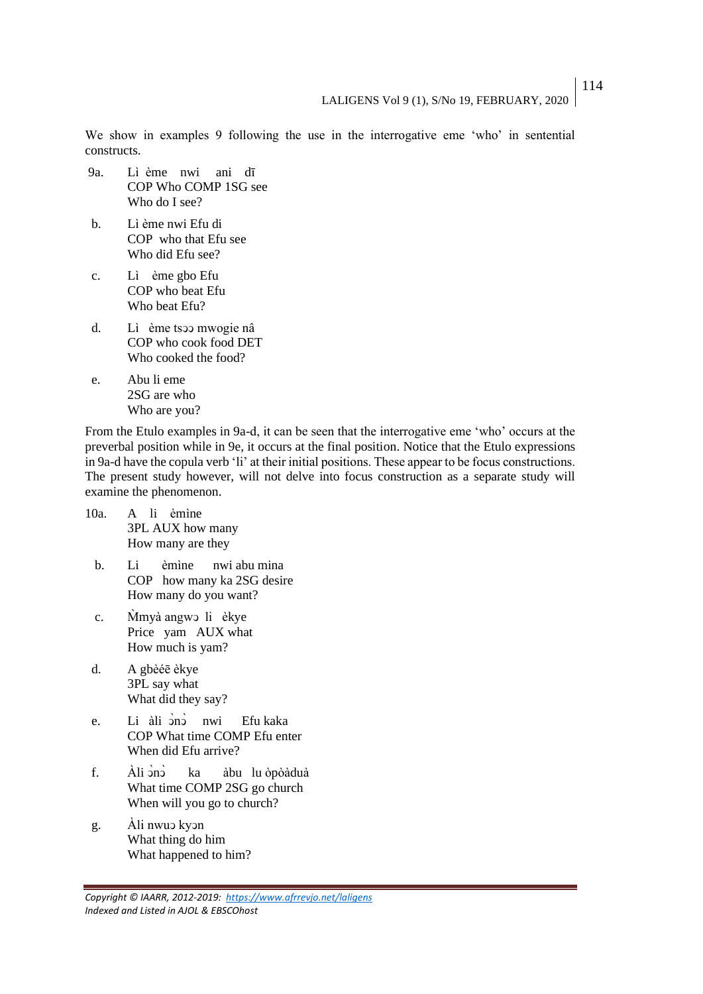We show in examples 9 following the use in the interrogative eme 'who' in sentential constructs.

- 9a. Lì ème nwi ani dī COP Who COMP 1SG see Who do I see?
- b. Lì ème nwi Efu di COP who that Efu see Who did Efu see?
- c. Lì ème gbo Efu COP who beat Efu Who beat Efu?
- d. Lì ème tsↄↄ mwogie nâ COP who cook food DET Who cooked the food?
- e. Abu li eme 2SG are who Who are you?

From the Etulo examples in 9a-d, it can be seen that the interrogative eme 'who' occurs at the preverbal position while in 9e, it occurs at the final position. Notice that the Etulo expressions in 9a-d have the copula verb 'li' at their initial positions. These appear to be focus constructions. The present study however, will not delve into focus construction as a separate study will examine the phenomenon.

- 10a. A li èmìne 3PL AUX how many How many are they
	- b. Li èmìne nwi abu mina COP how many ka 2SG desire How many do you want?
	- c. Mimyà angwo li èkye Price yam AUX what How much is yam?
- d. A gbèéē èkye 3PL say what What did they say?
- e. Li àli <sup>ono</sup> nwi Efu kaka COP What time COMP Efu enter When did Efu arrive?
- f. Àli ono ka àbu lu òpòàduà What time COMP 2SG go church When will you go to church?
- g. Àli nwuↄ kyↄn What thing do him What happened to him?

*Copyright © IAARR, 2012-2019: <https://www.afrrevjo.net/laligens> Indexed and Listed in AJOL & EBSCOhost*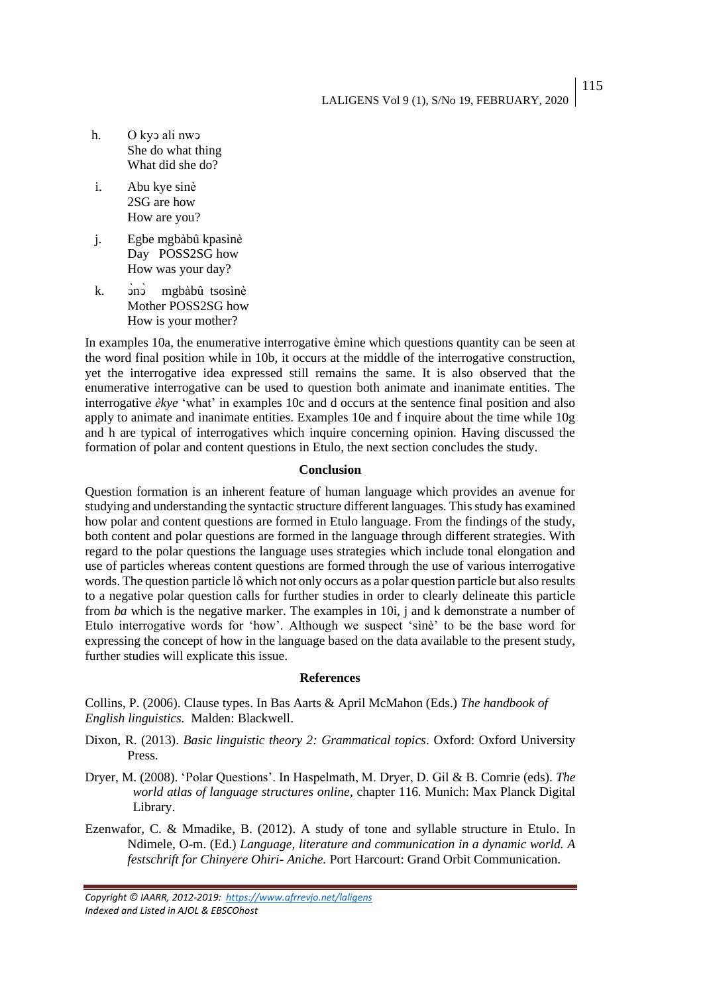115

- h. O kyɔ ali nwɔ She do what thing What did she do?
- i. Abu kye sinè 2SG are how How are you?
- j. Egbe mgbàbû kpasìnè Day POSS2SG how How was your day?
- k. ono mgbàbû tsosìnè Mother POSS2SG how How is your mother?

In examples 10a, the enumerative interrogative èmìne which questions quantity can be seen at the word final position while in 10b, it occurs at the middle of the interrogative construction, yet the interrogative idea expressed still remains the same. It is also observed that the enumerative interrogative can be used to question both animate and inanimate entities. The interrogative *èkye* 'what' in examples 10c and d occurs at the sentence final position and also apply to animate and inanimate entities. Examples 10e and f inquire about the time while 10g and h are typical of interrogatives which inquire concerning opinion. Having discussed the formation of polar and content questions in Etulo, the next section concludes the study.

#### **Conclusion**

Question formation is an inherent feature of human language which provides an avenue for studying and understanding the syntactic structure different languages. This study has examined how polar and content questions are formed in Etulo language. From the findings of the study, both content and polar questions are formed in the language through different strategies. With regard to the polar questions the language uses strategies which include tonal elongation and use of particles whereas content questions are formed through the use of various interrogative words. The question particle lô which not only occurs as a polar question particle but also results to a negative polar question calls for further studies in order to clearly delineate this particle from *ba* which is the negative marker. The examples in 10i, j and k demonstrate a number of Etulo interrogative words for 'how'. Although we suspect 'sìnè' to be the base word for expressing the concept of how in the language based on the data available to the present study, further studies will explicate this issue.

#### **References**

Collins, P. (2006). Clause types. In Bas Aarts & April McMahon (Eds.) *The handbook of English linguistics.* Malden: Blackwell.

- Dixon, R. (2013). *Basic linguistic theory 2: Grammatical topics*. Oxford: Oxford University Press.
- Dryer, M. (2008). 'Polar Questions'. In Haspelmath, M. Dryer, D. Gil & B. Comrie (eds). *The world atlas of language structures online,* chapter 116*.* Munich: Max Planck Digital Library.
- Ezenwafor, C. & Mmadike, B. (2012). A study of tone and syllable structure in Etulo. In Ndimele, O-m. (Ed.) *Language, literature and communication in a dynamic world. A festschrift for Chinyere Ohiri- Aniche.* Port Harcourt: Grand Orbit Communication.

*Copyright © IAARR, 2012-2019: <https://www.afrrevjo.net/laligens> Indexed and Listed in AJOL & EBSCOhost*